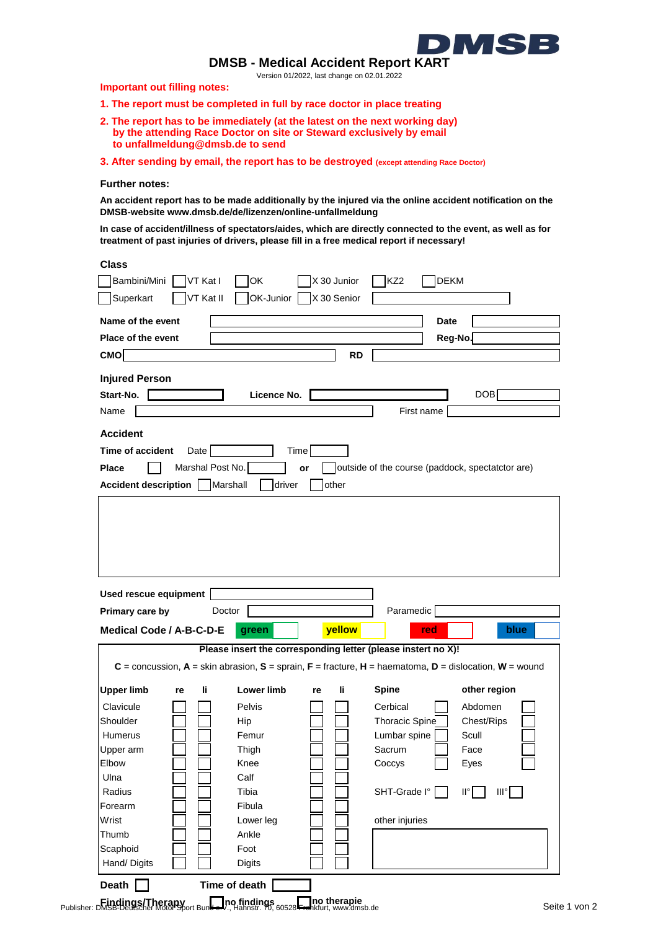

**DMSB - Medical Accident Report KART**

Version 01/2022, last change on 02.01.2022

**Important out filling notes:**

- **1. The report must be completed in full by race doctor in place treating**
- **2. The report has to be immediately (at the latest on the next working day) by the attending Race Doctor on site or Steward exclusively by email to unfallmeldung@dmsb.de to send**
- **3. After sending by email, the report has to be destroyed (except attending Race Doctor)**

## **Further notes:**

**An accident report has to be made additionally by the injured via the online accident notification on the DMSB-website www.dmsb.de/de/lizenzen/online-unfallmeldung**

**In case of accident/illness of spectators/aides, which are directly connected to the event, as well as for treatment of past injuries of drivers, please fill in a free medical report if necessary!**

| .<br>۰.<br>× |
|--------------|
|              |

| ыаээ<br>X 30 Junior<br>Bambini/Mini<br>OK<br>VT Kat I<br>VT Kat II<br>OK-Junior<br>X 30 Senior<br>Superkart                                                                           | <b>DEKM</b><br>KZ <sub>2</sub>                       |
|---------------------------------------------------------------------------------------------------------------------------------------------------------------------------------------|------------------------------------------------------|
| Name of the event                                                                                                                                                                     | <b>Date</b>                                          |
|                                                                                                                                                                                       |                                                      |
| <b>Place of the event</b>                                                                                                                                                             | Reg-No.                                              |
| <b>CMO</b><br><b>RD</b>                                                                                                                                                               |                                                      |
| <b>Injured Person</b>                                                                                                                                                                 |                                                      |
| Start-No.<br>Licence No.                                                                                                                                                              | <b>DOB</b>                                           |
| Name                                                                                                                                                                                  | First name                                           |
| <b>Accident</b>                                                                                                                                                                       |                                                      |
| Time<br>Time of accident<br>Date                                                                                                                                                      |                                                      |
| Marshal Post No.<br><b>Place</b><br>or                                                                                                                                                | outside of the course (paddock, spectatctor are)     |
| Marshall<br>driver<br>other<br><b>Accident description</b>                                                                                                                            |                                                      |
|                                                                                                                                                                                       |                                                      |
|                                                                                                                                                                                       |                                                      |
| Used rescue equipment                                                                                                                                                                 |                                                      |
| Primary care by<br>Doctor                                                                                                                                                             | Paramedic                                            |
| yellow<br>Medical Code / A-B-C-D-E<br>green                                                                                                                                           | blue<br>red                                          |
| Please insert the corresponding letter (please instert no X)!<br>$C =$ concussion, $A =$ skin abrasion, $S =$ sprain, $F =$ fracture, $H =$ haematoma, $D =$ dislocation, $W =$ wound |                                                      |
| <b>Upper limb</b><br><b>Lower limb</b><br>li.<br>li.<br>re<br>re                                                                                                                      | <b>Spine</b><br>other region                         |
| Clavicule<br>Pelvis                                                                                                                                                                   | Cerbical<br>Abdomen                                  |
| Shoulder<br>Hip                                                                                                                                                                       | <b>Thoracic Spine</b><br>Chest/Rips                  |
| Femur<br>Humerus                                                                                                                                                                      | Scull<br>Lumbar spine                                |
| Upper arm<br>Thigh                                                                                                                                                                    | Sacrum<br>Face                                       |
| Elbow<br>Knee                                                                                                                                                                         | Coccys<br>Eyes                                       |
| Ulna<br>Calf                                                                                                                                                                          |                                                      |
| Radius<br>Tibia                                                                                                                                                                       | SHT-Grade I°<br>$\mathsf{II}^\circ$<br>$III^{\circ}$ |
| Fibula<br>Forearm                                                                                                                                                                     |                                                      |
| Wrist<br>Lower leg                                                                                                                                                                    | other injuries                                       |
| Ankle<br>Thumb                                                                                                                                                                        |                                                      |
| Foot<br>Scaphoid                                                                                                                                                                      |                                                      |
| Hand/Digits<br><b>Digits</b><br>Time of death<br>Death                                                                                                                                |                                                      |

**Findings/Therapy and Therapy no findings no therapie no therapie** Seite 1 von 2<br>Publisher: DMSB-Deutscher Motor Sport Bund e.V., Hahnstr. 70, 60528 Frankfurt, www.dmsb.de